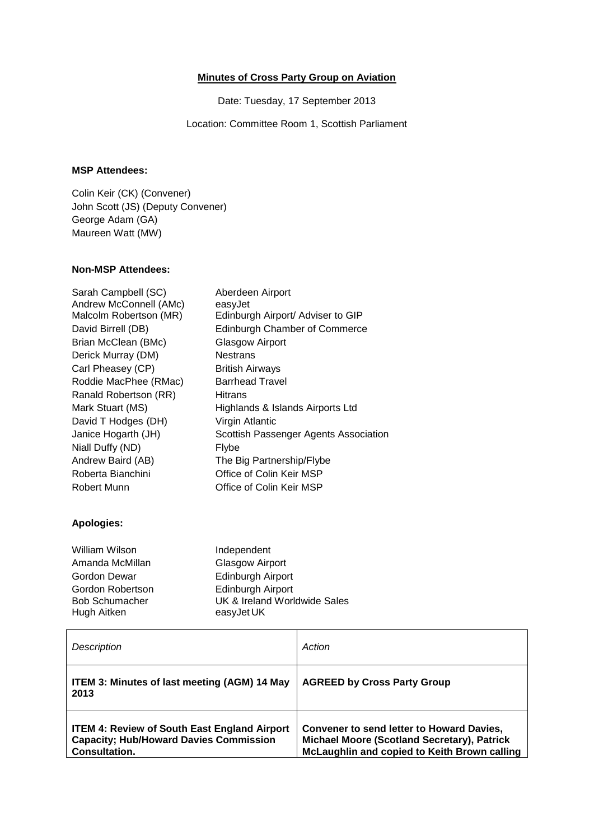## **Minutes of Cross Party Group on Aviation**

Date: Tuesday, 17 September 2013

Location: Committee Room 1, Scottish Parliament

## **MSP Attendees:**

Colin Keir (CK) (Convener) John Scott (JS) (Deputy Convener) George Adam (GA) Maureen Watt (MW)

## **Non-MSP Attendees:**

| Sarah Campbell (SC)    | Aberdeen Airport                      |
|------------------------|---------------------------------------|
| Andrew McConnell (AMc) | easyJet                               |
| Malcolm Robertson (MR) | Edinburgh Airport/ Adviser to GIP     |
| David Birrell (DB)     | Edinburgh Chamber of Commerce         |
| Brian McClean (BMc)    | Glasgow Airport                       |
| Derick Murray (DM)     | <b>Nestrans</b>                       |
| Carl Pheasey (CP)      | <b>British Airways</b>                |
| Roddie MacPhee (RMac)  | <b>Barrhead Travel</b>                |
| Ranald Robertson (RR)  | <b>Hitrans</b>                        |
| Mark Stuart (MS)       | Highlands & Islands Airports Ltd      |
| David T Hodges (DH)    | Virgin Atlantic                       |
| Janice Hogarth (JH)    | Scottish Passenger Agents Association |
| Niall Duffy (ND)       | Flybe                                 |
| Andrew Baird (AB)      | The Big Partnership/Flybe             |
| Roberta Bianchini      | Office of Colin Keir MSP              |
| Robert Munn            | Office of Colin Keir MSP              |
|                        |                                       |

## **Apologies:**

| <b>William Wilson</b> | Independent                  |
|-----------------------|------------------------------|
| Amanda McMillan       | Glasgow Airport              |
| Gordon Dewar          | <b>Edinburgh Airport</b>     |
| Gordon Robertson      | <b>Edinburgh Airport</b>     |
| <b>Bob Schumacher</b> | UK & Ireland Worldwide Sales |
| Hugh Aitken           | easyJet UK                   |

| Description                                                                                                                  | Action                                                                                                                                          |
|------------------------------------------------------------------------------------------------------------------------------|-------------------------------------------------------------------------------------------------------------------------------------------------|
| <b>ITEM 3: Minutes of last meeting (AGM) 14 May</b><br>2013                                                                  | <b>AGREED by Cross Party Group</b>                                                                                                              |
| <b>ITEM 4: Review of South East England Airport</b><br><b>Capacity; Hub/Howard Davies Commission</b><br><b>Consultation.</b> | <b>Convener to send letter to Howard Davies,</b><br>Michael Moore (Scotland Secretary), Patrick<br>McLaughlin and copied to Keith Brown calling |